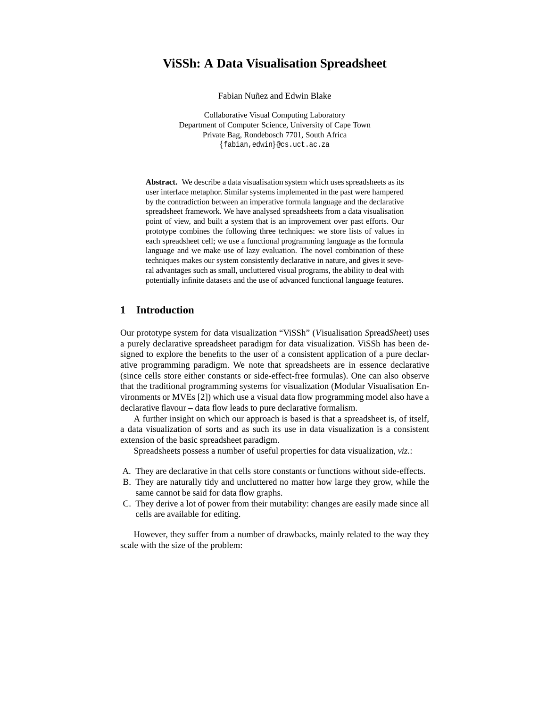# **ViSSh: A Data Visualisation Spreadsheet**

Fabian Nuñez and Edwin Blake

Collaborative Visual Computing Laboratory Department of Computer Science, University of Cape Town Private Bag, Rondebosch 7701, South Africa ffabian,edwing@cs.uct.ac.za

**Abstract.** We describe a data visualisation system which uses spreadsheets as its user interface metaphor. Similar systems implemented in the past were hampered by the contradiction between an imperative formula language and the declarative spreadsheet framework. We have analysed spreadsheets from a data visualisation point of view, and built a system that is an improvement over past efforts. Our prototype combines the following three techniques: we store lists of values in each spreadsheet cell; we use a functional programming language as the formula language and we make use of lazy evaluation. The novel combination of these techniques makes our system consistently declarative in nature, and gives it several advantages such as small, uncluttered visual programs, the ability to deal with potentially infinite datasets and the use of advanced functional language features.

# **1 Introduction**

Our prototype system for data visualization "ViSSh" (*V*isualisation *S*pread*Sh*eet) uses a purely declarative spreadsheet paradigm for data visualization. ViSSh has been designed to explore the benefits to the user of a consistent application of a pure declarative programming paradigm. We note that spreadsheets are in essence declarative (since cells store either constants or side-effect-free formulas). One can also observe that the traditional programming systems for visualization (Modular Visualisation Environments or MVEs [2]) which use a visual data flow programming model also have a declarative flavour – data flow leads to pure declarative formalism.

A further insight on which our approach is based is that a spreadsheet is, of itself, a data visualization of sorts and as such its use in data visualization is a consistent extension of the basic spreadsheet paradigm.

Spreadsheets possess a number of useful properties for data visualization, *viz.*:

- A. They are declarative in that cells store constants or functions without side-effects.
- B. They are naturally tidy and uncluttered no matter how large they grow, while the same cannot be said for data flow graphs.
- C. They derive a lot of power from their mutability: changes are easily made since all cells are available for editing.

However, they suffer from a number of drawbacks, mainly related to the way they scale with the size of the problem: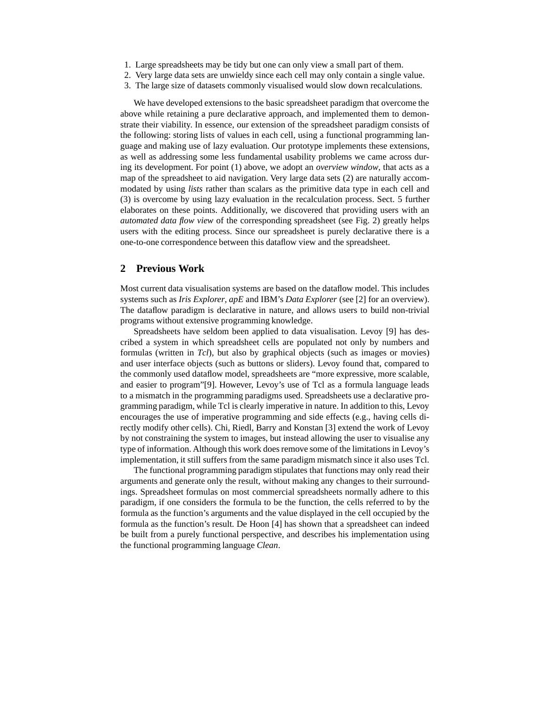- 1. Large spreadsheets may be tidy but one can only view a small part of them.
- 2. Very large data sets are unwieldy since each cell may only contain a single value.
- 3. The large size of datasets commonly visualised would slow down recalculations.

We have developed extensions to the basic spreadsheet paradigm that overcome the above while retaining a pure declarative approach, and implemented them to demonstrate their viability. In essence, our extension of the spreadsheet paradigm consists of the following: storing lists of values in each cell, using a functional programming language and making use of lazy evaluation. Our prototype implements these extensions, as well as addressing some less fundamental usability problems we came across during its development. For point (1) above, we adopt an *overview window*, that acts as a map of the spreadsheet to aid navigation. Very large data sets (2) are naturally accommodated by using *lists* rather than scalars as the primitive data type in each cell and (3) is overcome by using lazy evaluation in the recalculation process. Sect. 5 further elaborates on these points. Additionally, we discovered that providing users with an *automated data flow view* of the corresponding spreadsheet (see Fig. 2) greatly helps users with the editing process. Since our spreadsheet is purely declarative there is a one-to-one correspondence between this dataflow view and the spreadsheet.

#### **2 Previous Work**

Most current data visualisation systems are based on the dataflow model. This includes systems such as *Iris Explorer*, *apE* and IBM's *Data Explorer* (see [2] for an overview). The dataflow paradigm is declarative in nature, and allows users to build non-trivial programs without extensive programming knowledge.

Spreadsheets have seldom been applied to data visualisation. Levoy [9] has described a system in which spreadsheet cells are populated not only by numbers and formulas (written in *Tcl*), but also by graphical objects (such as images or movies) and user interface objects (such as buttons or sliders). Levoy found that, compared to the commonly used dataflow model, spreadsheets are "more expressive, more scalable, and easier to program"[9]. However, Levoy's use of Tcl as a formula language leads to a mismatch in the programming paradigms used. Spreadsheets use a declarative programming paradigm, while Tcl is clearly imperative in nature. In addition to this, Levoy encourages the use of imperative programming and side effects (e.g., having cells directly modify other cells). Chi, Riedl, Barry and Konstan [3] extend the work of Levoy by not constraining the system to images, but instead allowing the user to visualise any type of information. Although this work does remove some of the limitations in Levoy's implementation, it still suffers from the same paradigm mismatch since it also uses Tcl.

The functional programming paradigm stipulates that functions may only read their arguments and generate only the result, without making any changes to their surroundings. Spreadsheet formulas on most commercial spreadsheets normally adhere to this paradigm, if one considers the formula to be the function, the cells referred to by the formula as the function's arguments and the value displayed in the cell occupied by the formula as the function's result. De Hoon [4] has shown that a spreadsheet can indeed be built from a purely functional perspective, and describes his implementation using the functional programming language *Clean*.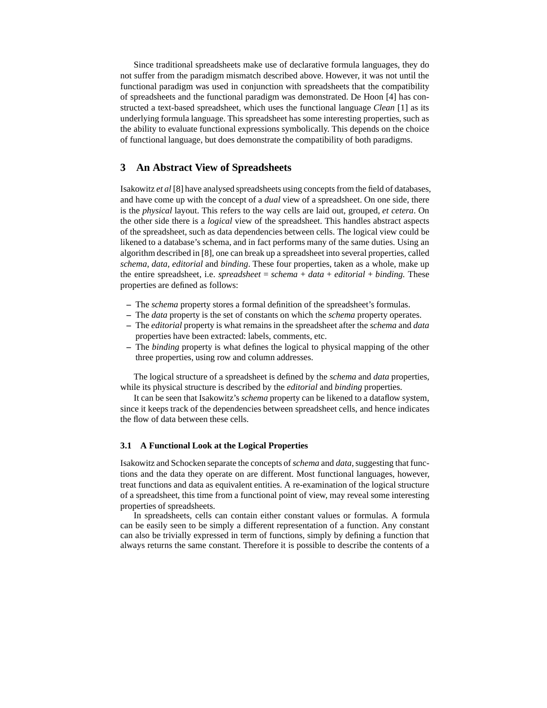Since traditional spreadsheets make use of declarative formula languages, they do not suffer from the paradigm mismatch described above. However, it was not until the functional paradigm was used in conjunction with spreadsheets that the compatibility of spreadsheets and the functional paradigm was demonstrated. De Hoon [4] has constructed a text-based spreadsheet, which uses the functional language *Clean* [1] as its underlying formula language. This spreadsheet has some interesting properties, such as the ability to evaluate functional expressions symbolically. This depends on the choice of functional language, but does demonstrate the compatibility of both paradigms.

### **3 An Abstract View of Spreadsheets**

Isakowitz *et al* [8] have analysed spreadsheets using concepts from the field of databases, and have come up with the concept of a *dual* view of a spreadsheet. On one side, there is the *physical* layout. This refers to the way cells are laid out, grouped, *et cetera*. On the other side there is a *logical* view of the spreadsheet. This handles abstract aspects of the spreadsheet, such as data dependencies between cells. The logical view could be likened to a database's schema, and in fact performs many of the same duties. Using an algorithm described in [8], one can break up a spreadsheet into several properties, called *schema*, *data*, *editorial* and *binding*. These four properties, taken as a whole, make up the entire spreadsheet, i.e. *spreadsheet* =  $schema + data + editorial + binding$ . These properties are defined as follows:

- **–** The *schema* property stores a formal definition of the spreadsheet's formulas.
- **–** The *data* property is the set of constants on which the *schema* property operates.
- **–** The *editorial* property is what remains in the spreadsheet after the *schema* and *data* properties have been extracted: labels, comments, etc.
- **–** The *binding* property is what defines the logical to physical mapping of the other three properties, using row and column addresses.

The logical structure of a spreadsheet is defined by the *schema* and *data* properties, while its physical structure is described by the *editorial* and *binding* properties.

It can be seen that Isakowitz's *schema* property can be likened to a dataflow system, since it keeps track of the dependencies between spreadsheet cells, and hence indicates the flow of data between these cells.

#### **3.1 A Functional Look at the Logical Properties**

Isakowitz and Schocken separate the concepts of*schema* and *data*, suggesting that functions and the data they operate on are different. Most functional languages, however, treat functions and data as equivalent entities. A re-examination of the logical structure of a spreadsheet, this time from a functional point of view, may reveal some interesting properties of spreadsheets.

In spreadsheets, cells can contain either constant values or formulas. A formula can be easily seen to be simply a different representation of a function. Any constant can also be trivially expressed in term of functions, simply by defining a function that always returns the same constant. Therefore it is possible to describe the contents of a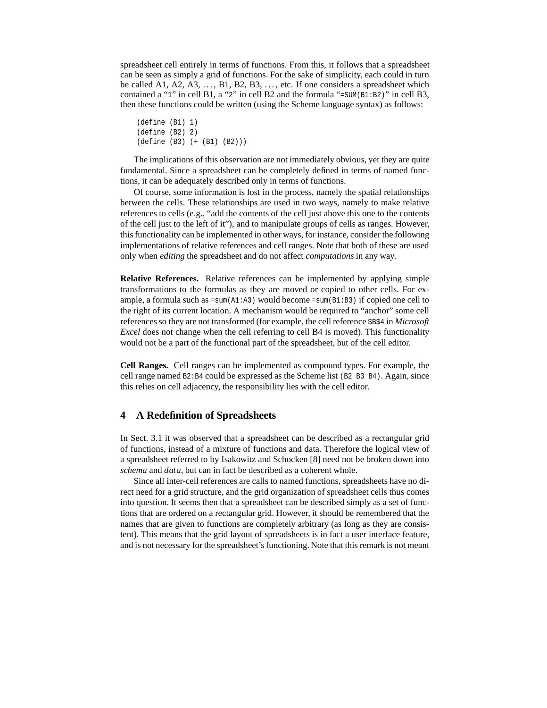spreadsheet cell entirely in terms of functions. From this, it follows that a spreadsheet can be seen as simply a grid of functions. For the sake of simplicity, each could in turn be called A1, A2, A3,  $\dots$ , B1, B2, B3,  $\dots$ , etc. If one considers a spreadsheet which contained a "1" in cell B1, a "2" in cell B2 and the formula "=SUM(B1:B2)" in cell B3, then these functions could be written (using the Scheme language syntax) as follows:

```
(define (B1) 1)
(define (B2) 2)
(define (B3) (+ (B1) (B2)))
```
The implications of this observation are not immediately obvious, yet they are quite fundamental. Since a spreadsheet can be completely defined in terms of named functions, it can be adequately described only in terms of functions.

Of course, some information is lost in the process, namely the spatial relationships between the cells. These relationships are used in two ways, namely to make relative references to cells (e.g., "add the contents of the cell just above this one to the contents of the cell just to the left of it"), and to manipulate groups of cells as ranges. However, this functionality can be implemented in other ways, for instance, consider the following implementations of relative references and cell ranges. Note that both of these are used only when *editing* the spreadsheet and do not affect *computations* in any way.

**Relative References.** Relative references can be implemented by applying simple transformations to the formulas as they are moved or copied to other cells. For example, a formula such as  $=$ sum( $AI: A3$ ) would become  $=$ sum( $BI: B3$ ) if copied one cell to the right of its current location. A mechanism would be required to "anchor" some cell references so they are not transformed (for example, the cell reference \$B\$4 in *Microsoft Excel* does not change when the cell referring to cell B4 is moved). This functionality would not be a part of the functional part of the spreadsheet, but of the cell editor.

**Cell Ranges.** Cell ranges can be implemented as compound types. For example, the cell range named B2:B4 could be expressed as the Scheme list (B2 B3 B4). Again, since this relies on cell adjacency, the responsibility lies with the cell editor.

### **4 A Redefinition of Spreadsheets**

In Sect. 3.1 it was observed that a spreadsheet can be described as a rectangular grid of functions, instead of a mixture of functions and data. Therefore the logical view of a spreadsheet referred to by Isakowitz and Schocken [8] need not be broken down into *schema* and *data*, but can in fact be described as a coherent whole.

Since all inter-cell references are calls to named functions, spreadsheets have no direct need for a grid structure, and the grid organization of spreadsheet cells thus comes into question. It seems then that a spreadsheet can be described simply as a set of functions that are ordered on a rectangular grid. However, it should be remembered that the names that are given to functions are completely arbitrary (as long as they are consistent). This means that the grid layout of spreadsheets is in fact a user interface feature, and is not necessary for the spreadsheet's functioning. Note that this remark is not meant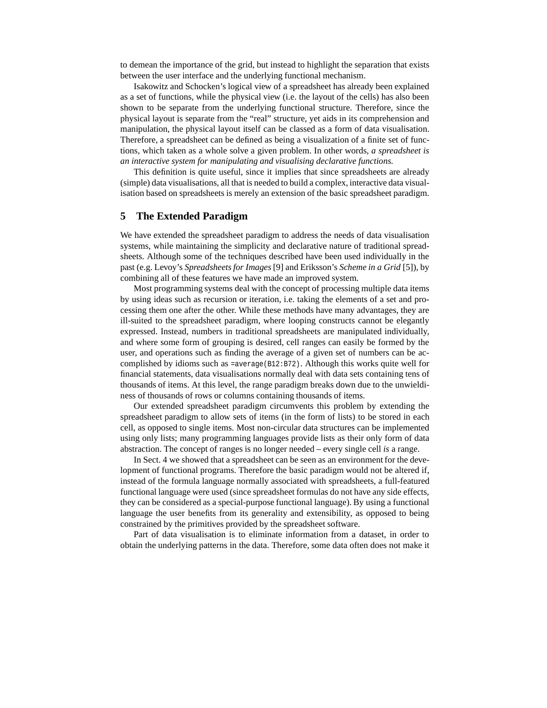to demean the importance of the grid, but instead to highlight the separation that exists between the user interface and the underlying functional mechanism.

Isakowitz and Schocken's logical view of a spreadsheet has already been explained as a set of functions, while the physical view (i.e. the layout of the cells) has also been shown to be separate from the underlying functional structure. Therefore, since the physical layout is separate from the "real" structure, yet aids in its comprehension and manipulation, the physical layout itself can be classed as a form of data visualisation. Therefore, a spreadsheet can be defined as being a visualization of a finite set of functions, which taken as a whole solve a given problem. In other words, *a spreadsheet is an interactive system for manipulating and visualising declarative functions.*

This definition is quite useful, since it implies that since spreadsheets are already (simple) data visualisations, all that is needed to build a complex, interactive data visualisation based on spreadsheets is merely an extension of the basic spreadsheet paradigm.

# **5 The Extended Paradigm**

We have extended the spreadsheet paradigm to address the needs of data visualisation systems, while maintaining the simplicity and declarative nature of traditional spreadsheets. Although some of the techniques described have been used individually in the past (e.g. Levoy's *Spreadsheets for Images* [9] and Eriksson's *Scheme in a Grid* [5]), by combining all of these features we have made an improved system.

Most programming systems deal with the concept of processing multiple data items by using ideas such as recursion or iteration, i.e. taking the elements of a set and processing them one after the other. While these methods have many advantages, they are ill-suited to the spreadsheet paradigm, where looping constructs cannot be elegantly expressed. Instead, numbers in traditional spreadsheets are manipulated individually, and where some form of grouping is desired, cell ranges can easily be formed by the user, and operations such as finding the average of a given set of numbers can be accomplished by idioms such as =average(B12:B72). Although this works quite well for financial statements, data visualisations normally deal with data sets containing tens of thousands of items. At this level, the range paradigm breaks down due to the unwieldiness of thousands of rows or columns containing thousands of items.

Our extended spreadsheet paradigm circumvents this problem by extending the spreadsheet paradigm to allow sets of items (in the form of lists) to be stored in each cell, as opposed to single items. Most non-circular data structures can be implemented using only lists; many programming languages provide lists as their only form of data abstraction. The concept of ranges is no longer needed – every single cell *is* a range.

In Sect. 4 we showed that a spreadsheet can be seen as an environment for the development of functional programs. Therefore the basic paradigm would not be altered if, instead of the formula language normally associated with spreadsheets, a full-featured functional language were used (since spreadsheet formulas do not have any side effects, they can be considered as a special-purpose functional language). By using a functional language the user benefits from its generality and extensibility, as opposed to being constrained by the primitives provided by the spreadsheet software.

Part of data visualisation is to eliminate information from a dataset, in order to obtain the underlying patterns in the data. Therefore, some data often does not make it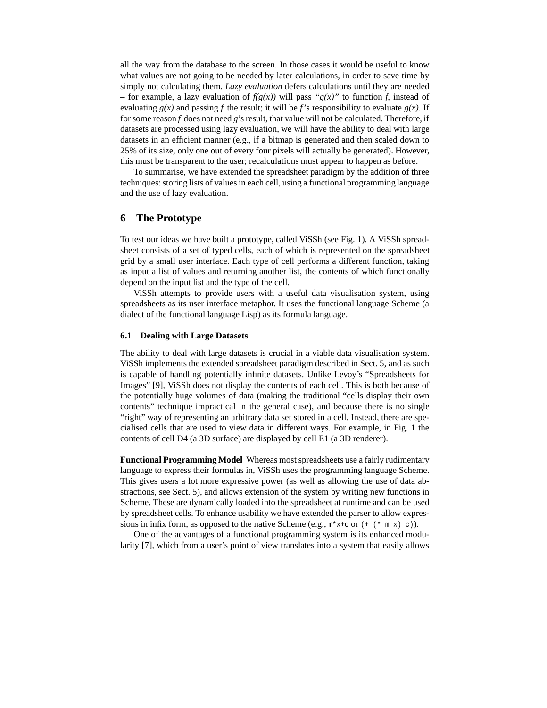all the way from the database to the screen. In those cases it would be useful to know what values are not going to be needed by later calculations, in order to save time by simply not calculating them. *Lazy evaluation* defers calculations until they are needed – for example, a lazy evaluation of  $f(g(x))$  will pass " $g(x)$ " to function *f*, instead of evaluating  $g(x)$  and passing *f* the result; it will be *f*'s responsibility to evaluate  $g(x)$ . If for some reason *f* does not need *g*'s result, that value will not be calculated. Therefore, if datasets are processed using lazy evaluation, we will have the ability to deal with large datasets in an efficient manner (e.g., if a bitmap is generated and then scaled down to 25% of its size, only one out of every four pixels will actually be generated). However, this must be transparent to the user; recalculations must appear to happen as before.

To summarise, we have extended the spreadsheet paradigm by the addition of three techniques: storing lists of values in each cell, using a functional programming language and the use of lazy evaluation.

# **6 The Prototype**

To test our ideas we have built a prototype, called ViSSh (see Fig. 1). A ViSSh spreadsheet consists of a set of typed cells, each of which is represented on the spreadsheet grid by a small user interface. Each type of cell performs a different function, taking as input a list of values and returning another list, the contents of which functionally depend on the input list and the type of the cell.

ViSSh attempts to provide users with a useful data visualisation system, using spreadsheets as its user interface metaphor. It uses the functional language Scheme (a dialect of the functional language Lisp) as its formula language.

#### **6.1 Dealing with Large Datasets**

The ability to deal with large datasets is crucial in a viable data visualisation system. ViSSh implements the extended spreadsheet paradigm described in Sect. 5, and as such is capable of handling potentially infinite datasets. Unlike Levoy's "Spreadsheets for Images" [9], ViSSh does not display the contents of each cell. This is both because of the potentially huge volumes of data (making the traditional "cells display their own contents" technique impractical in the general case), and because there is no single "right" way of representing an arbitrary data set stored in a cell. Instead, there are specialised cells that are used to view data in different ways. For example, in Fig. 1 the contents of cell D4 (a 3D surface) are displayed by cell E1 (a 3D renderer).

**Functional Programming Model** Whereas most spreadsheets use a fairly rudimentary language to express their formulas in, ViSSh uses the programming language Scheme. This gives users a lot more expressive power (as well as allowing the use of data abstractions, see Sect. 5), and allows extension of the system by writing new functions in Scheme. These are dynamically loaded into the spreadsheet at runtime and can be used by spreadsheet cells. To enhance usability we have extended the parser to allow expressions in infix form, as opposed to the native Scheme (e.g.,  $m*x+c$  or  $(+$   $(*$   $m x) c$ )).

One of the advantages of a functional programming system is its enhanced modularity [7], which from a user's point of view translates into a system that easily allows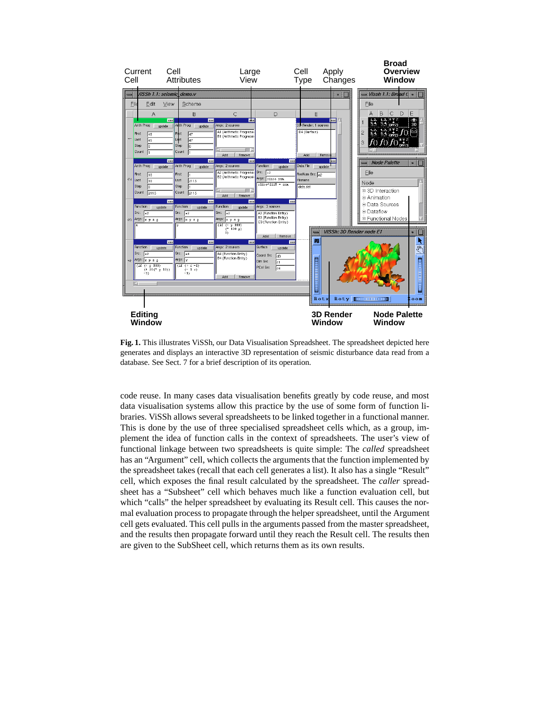

**Fig. 1.** This illustrates ViSSh, our Data Visualisation Spreadsheet. The spreadsheet depicted here generates and displays an interactive 3D representation of seismic disturbance data read from a database. See Sect. 7 for a brief description of its operation.

code reuse. In many cases data visualisation benefits greatly by code reuse, and most data visualisation systems allow this practice by the use of some form of function libraries. ViSSh allows several spreadsheets to be linked together in a functional manner. This is done by the use of three specialised spreadsheet cells which, as a group, implement the idea of function calls in the context of spreadsheets. The user's view of functional linkage between two spreadsheets is quite simple: The *called* spreadsheet has an "Argument" cell, which collects the arguments that the function implemented by the spreadsheet takes (recall that each cell generates a list). It also has a single "Result" cell, which exposes the final result calculated by the spreadsheet. The *caller* spreadsheet has a "Subsheet" cell which behaves much like a function evaluation cell, but which "calls" the helper spreadsheet by evaluating its Result cell. This causes the normal evaluation process to propagate through the helper spreadsheet, until the Argument cell gets evaluated. This cell pulls in the arguments passed from the master spreadsheet, and the results then propagate forward until they reach the Result cell. The results then are given to the SubSheet cell, which returns them as its own results.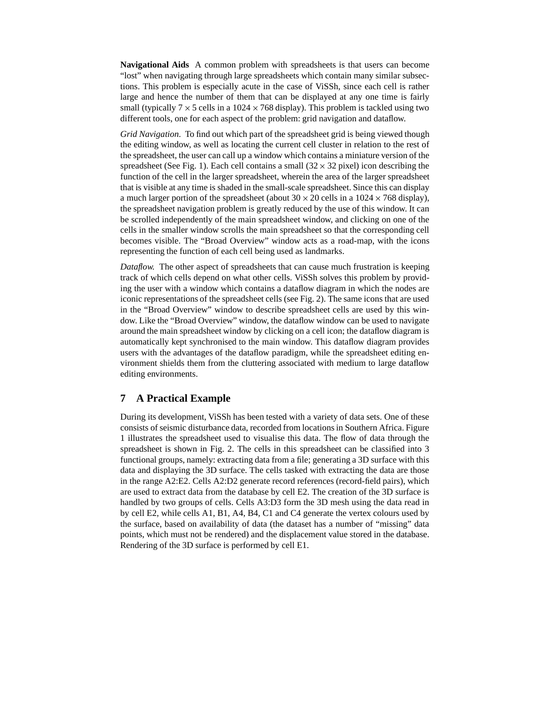**Navigational Aids** A common problem with spreadsheets is that users can become "lost" when navigating through large spreadsheets which contain many similar subsections. This problem is especially acute in the case of ViSSh, since each cell is rather large and hence the number of them that can be displayed at any one time is fairly small (typically  $7 \times 5$  cells in a 1024  $\times$  768 display). This problem is tackled using two different tools, one for each aspect of the problem: grid navigation and dataflow.

*Grid Navigation.* To find out which part of the spreadsheet grid is being viewed though the editing window, as well as locating the current cell cluster in relation to the rest of the spreadsheet, the user can call up a window which contains a miniature version of the spreadsheet (See Fig. 1). Each cell contains a small  $(32 \times 32 \text{ pixel})$  icon describing the function of the cell in the larger spreadsheet, wherein the area of the larger spreadsheet that is visible at any time is shaded in the small-scale spreadsheet. Since this can display a much larger portion of the spreadsheet (about  $30 \times 20$  cells in a  $1024 \times 768$  display), the spreadsheet navigation problem is greatly reduced by the use of this window. It can be scrolled independently of the main spreadsheet window, and clicking on one of the cells in the smaller window scrolls the main spreadsheet so that the corresponding cell becomes visible. The "Broad Overview" window acts as a road-map, with the icons representing the function of each cell being used as landmarks.

*Dataflow.* The other aspect of spreadsheets that can cause much frustration is keeping track of which cells depend on what other cells. ViSSh solves this problem by providing the user with a window which contains a dataflow diagram in which the nodes are iconic representations of the spreadsheet cells (see Fig. 2). The same icons that are used in the "Broad Overview" window to describe spreadsheet cells are used by this window. Like the "Broad Overview" window, the dataflow window can be used to navigate around the main spreadsheet window by clicking on a cell icon; the dataflow diagram is automatically kept synchronised to the main window. This dataflow diagram provides users with the advantages of the dataflow paradigm, while the spreadsheet editing environment shields them from the cluttering associated with medium to large dataflow editing environments.

# **7 A Practical Example**

During its development, ViSSh has been tested with a variety of data sets. One of these consists of seismic disturbance data, recorded from locations in Southern Africa. Figure 1 illustrates the spreadsheet used to visualise this data. The flow of data through the spreadsheet is shown in Fig. 2. The cells in this spreadsheet can be classified into 3 functional groups, namely: extracting data from a file; generating a 3D surface with this data and displaying the 3D surface. The cells tasked with extracting the data are those in the range A2:E2. Cells A2:D2 generate record references (record-field pairs), which are used to extract data from the database by cell E2. The creation of the 3D surface is handled by two groups of cells. Cells A3:D3 form the 3D mesh using the data read in by cell E2, while cells A1, B1, A4, B4, C1 and C4 generate the vertex colours used by the surface, based on availability of data (the dataset has a number of "missing" data points, which must not be rendered) and the displacement value stored in the database. Rendering of the 3D surface is performed by cell E1.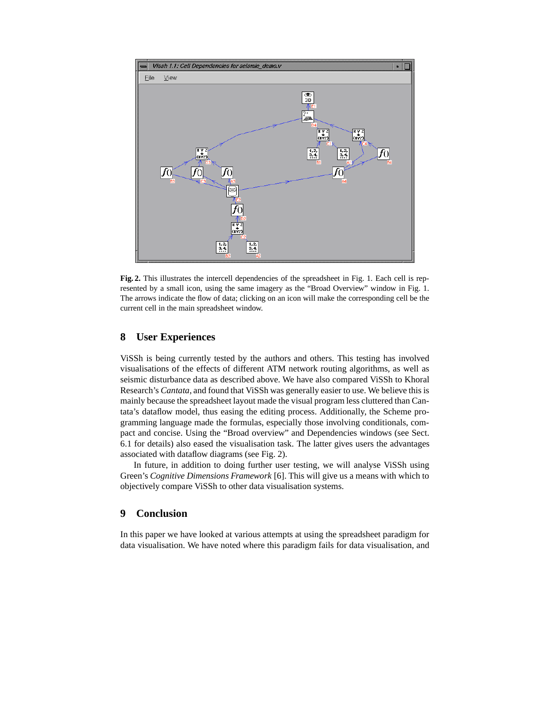

**Fig. 2.** This illustrates the intercell dependencies of the spreadsheet in Fig. 1. Each cell is represented by a small icon, using the same imagery as the "Broad Overview" window in Fig. 1. The arrows indicate the flow of data; clicking on an icon will make the corresponding cell be the current cell in the main spreadsheet window.

## **8 User Experiences**

ViSSh is being currently tested by the authors and others. This testing has involved visualisations of the effects of different ATM network routing algorithms, as well as seismic disturbance data as described above. We have also compared ViSSh to Khoral Research's *Cantata*, and found that ViSSh was generally easier to use. We believe this is mainly because the spreadsheet layout made the visual program less cluttered than Cantata's dataflow model, thus easing the editing process. Additionally, the Scheme programming language made the formulas, especially those involving conditionals, compact and concise. Using the "Broad overview" and Dependencies windows (see Sect. 6.1 for details) also eased the visualisation task. The latter gives users the advantages associated with dataflow diagrams (see Fig. 2).

In future, in addition to doing further user testing, we will analyse ViSSh using Green's *Cognitive Dimensions Framework* [6]. This will give us a means with which to objectively compare ViSSh to other data visualisation systems.

# **9 Conclusion**

In this paper we have looked at various attempts at using the spreadsheet paradigm for data visualisation. We have noted where this paradigm fails for data visualisation, and